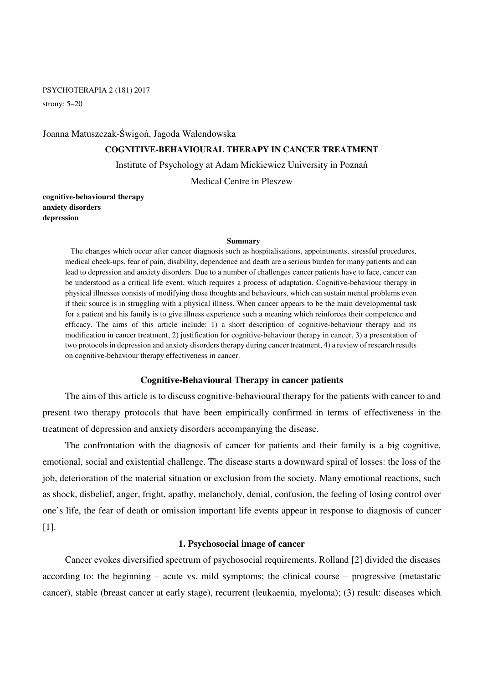#### PSYCHOTERAPIA 2 (181) 2017

strony: 5–20

Joanna Matuszczak-Świgoń, Jagoda Walendowska

# **COGNITIVE-BEHAVIOURAL THERAPY IN CANCER TREATMENT**

Institute of Psychology at Adam Mickiewicz University in Poznań

Medical Centre in Pleszew

**cognitive-behavioural therapy anxiety disorders depression** 

#### **Summary**

The changes which occur after cancer diagnosis such as hospitalisations, appointments, stressful procedures, medical check-ups, fear of pain, disability, dependence and death are a serious burden for many patients and can lead to depression and anxiety disorders. Due to a number of challenges cancer patients have to face, cancer can be understood as a critical life event, which requires a process of adaptation. Cognitive-behaviour therapy in physical illnesses consists of modifying those thoughts and behaviours, which can sustain mental problems even if their source is in struggling with a physical illness. When cancer appears to be the main developmental task for a patient and his family is to give illness experience such a meaning which reinforces their competence and efficacy. The aims of this article include: 1) a short description of cognitive-behaviour therapy and its modification in cancer treatment, 2) justification for cognitive-behaviour therapy in cancer, 3) a presentation of two protocols in depression and anxiety disorders therapy during cancer treatment, 4) a review of research results on cognitive-behaviour therapy effectiveness in cancer.

### **Cognitive-Behavioural Therapy in cancer patients**

The aim of this article is to discuss cognitive-behavioural therapy for the patients with cancer to and present two therapy protocols that have been empirically confirmed in terms of effectiveness in the treatment of depression and anxiety disorders accompanying the disease.

The confrontation with the diagnosis of cancer for patients and their family is a big cognitive, emotional, social and existential challenge. The disease starts a downward spiral of losses: the loss of the job, deterioration of the material situation or exclusion from the society. Many emotional reactions, such as shock, disbelief, anger, fright, apathy, melancholy, denial, confusion, the feeling of losing control over one's life, the fear of death or omission important life events appear in response to diagnosis of cancer [1].

# **1. Psychosocial image of cancer**

Cancer evokes diversified spectrum of psychosocial requirements. Rolland [2] divided the diseases according to: the beginning – acute vs. mild symptoms; the clinical course – progressive (metastatic cancer), stable (breast cancer at early stage), recurrent (leukaemia, myeloma); (3) result: diseases which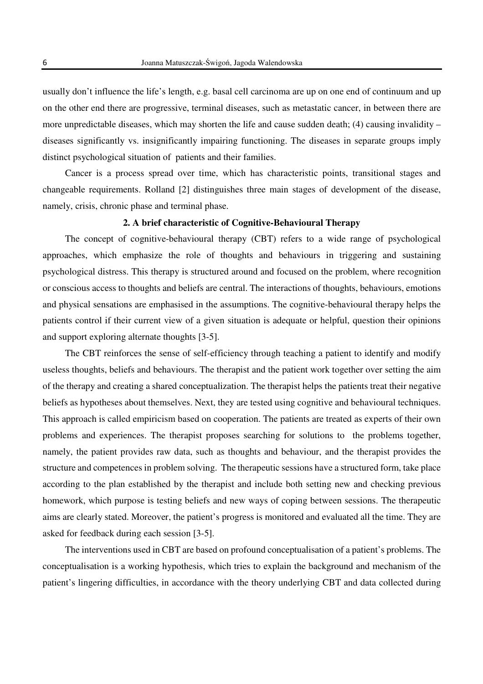usually don't influence the life's length, e.g. basal cell carcinoma are up on one end of continuum and up on the other end there are progressive, terminal diseases, such as metastatic cancer, in between there are more unpredictable diseases, which may shorten the life and cause sudden death; (4) causing invalidity – diseases significantly vs. insignificantly impairing functioning. The diseases in separate groups imply distinct psychological situation of patients and their families.

Cancer is a process spread over time, which has characteristic points, transitional stages and changeable requirements. Rolland [2] distinguishes three main stages of development of the disease, namely, crisis, chronic phase and terminal phase.

# **2. A brief characteristic of Cognitive-Behavioural Therapy**

The concept of cognitive-behavioural therapy (CBT) refers to a wide range of psychological approaches, which emphasize the role of thoughts and behaviours in triggering and sustaining psychological distress. This therapy is structured around and focused on the problem, where recognition or conscious access to thoughts and beliefs are central. The interactions of thoughts, behaviours, emotions and physical sensations are emphasised in the assumptions. The cognitive-behavioural therapy helps the patients control if their current view of a given situation is adequate or helpful, question their opinions and support exploring alternate thoughts [3-5].

The CBT reinforces the sense of self-efficiency through teaching a patient to identify and modify useless thoughts, beliefs and behaviours. The therapist and the patient work together over setting the aim of the therapy and creating a shared conceptualization. The therapist helps the patients treat their negative beliefs as hypotheses about themselves. Next, they are tested using cognitive and behavioural techniques. This approach is called empiricism based on cooperation. The patients are treated as experts of their own problems and experiences. The therapist proposes searching for solutions to the problems together, namely, the patient provides raw data, such as thoughts and behaviour, and the therapist provides the structure and competences in problem solving. The therapeutic sessions have a structured form, take place according to the plan established by the therapist and include both setting new and checking previous homework, which purpose is testing beliefs and new ways of coping between sessions. The therapeutic aims are clearly stated. Moreover, the patient's progress is monitored and evaluated all the time. They are asked for feedback during each session [3-5].

The interventions used in CBT are based on profound conceptualisation of a patient's problems. The conceptualisation is a working hypothesis, which tries to explain the background and mechanism of the patient's lingering difficulties, in accordance with the theory underlying CBT and data collected during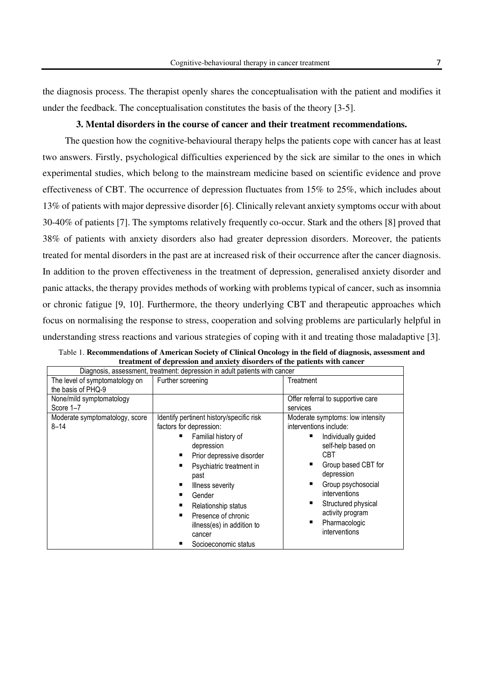the diagnosis process. The therapist openly shares the conceptualisation with the patient and modifies it under the feedback. The conceptualisation constitutes the basis of the theory [3-5].

### **3. Mental disorders in the course of cancer and their treatment recommendations.**

The question how the cognitive-behavioural therapy helps the patients cope with cancer has at least two answers. Firstly, psychological difficulties experienced by the sick are similar to the ones in which experimental studies, which belong to the mainstream medicine based on scientific evidence and prove effectiveness of CBT. The occurrence of depression fluctuates from 15% to 25%, which includes about 13% of patients with major depressive disorder [6]. Clinically relevant anxiety symptoms occur with about 30-40% of patients [7]. The symptoms relatively frequently co-occur. Stark and the others [8] proved that 38% of patients with anxiety disorders also had greater depression disorders. Moreover, the patients treated for mental disorders in the past are at increased risk of their occurrence after the cancer diagnosis. In addition to the proven effectiveness in the treatment of depression, generalised anxiety disorder and panic attacks, the therapy provides methods of working with problems typical of cancer, such as insomnia or chronic fatigue [9, 10]. Furthermore, the theory underlying CBT and therapeutic approaches which focus on normalising the response to stress, cooperation and solving problems are particularly helpful in understanding stress reactions and various strategies of coping with it and treating those maladaptive [3].

| Diagnosis, assessment, treatment: depression in adult patients with cancer |                                                                                                                                                                                                                                                                                                                                      |                                                                                                                                                                                                                                                                                     |  |  |
|----------------------------------------------------------------------------|--------------------------------------------------------------------------------------------------------------------------------------------------------------------------------------------------------------------------------------------------------------------------------------------------------------------------------------|-------------------------------------------------------------------------------------------------------------------------------------------------------------------------------------------------------------------------------------------------------------------------------------|--|--|
| The level of symptomatology on<br>the basis of PHQ-9                       | Further screening                                                                                                                                                                                                                                                                                                                    | Treatment                                                                                                                                                                                                                                                                           |  |  |
| None/mild symptomatology<br>Score 1-7                                      |                                                                                                                                                                                                                                                                                                                                      | Offer referral to supportive care<br>services                                                                                                                                                                                                                                       |  |  |
| Moderate symptomatology, score<br>$8 - 14$                                 | Identify pertinent history/specific risk<br>factors for depression:<br>Familial history of<br>depression<br>Prior depressive disorder<br>Psychiatric treatment in<br>п<br>past<br>Illness severity<br>Gender<br>Relationship status<br>п<br>Presence of chronic<br>п<br>illness(es) in addition to<br>cancer<br>Socioeconomic status | Moderate symptoms: low intensity<br>interventions include:<br>Individually guided<br>self-help based on<br><b>CBT</b><br>Group based CBT for<br>depression<br>Group psychosocial<br>interventions<br>Structured physical<br>■<br>activity program<br>Pharmacologic<br>interventions |  |  |

| Table 1. Recommendations of American Society of Clinical Oncology in the field of diagnosis, assessment and |
|-------------------------------------------------------------------------------------------------------------|
| treatment of depression and anxiety disorders of the patients with cancer                                   |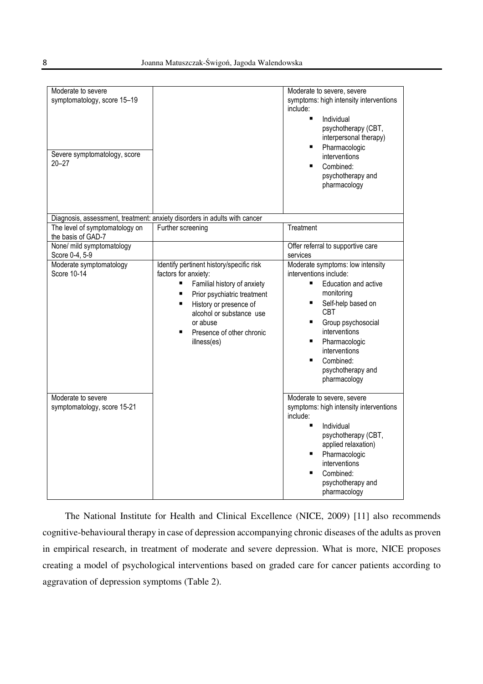| Moderate to severe<br>symptomatology, score 15-19<br>Severe symptomatology, score<br>$20 - 27$ |                                                                                                                                                                                                                                                                  | Moderate to severe, severe<br>symptoms: high intensity interventions<br>include:<br>$\blacksquare$<br>Individual<br>psychotherapy (CBT,<br>interpersonal therapy)<br>Pharmacologic<br>٠<br>interventions<br>Combined:<br>п<br>psychotherapy and<br>pharmacology                                                    |
|------------------------------------------------------------------------------------------------|------------------------------------------------------------------------------------------------------------------------------------------------------------------------------------------------------------------------------------------------------------------|--------------------------------------------------------------------------------------------------------------------------------------------------------------------------------------------------------------------------------------------------------------------------------------------------------------------|
| The level of symptomatology on                                                                 | Diagnosis, assessment, treatment: anxiety disorders in adults with cancer<br>Further screening                                                                                                                                                                   | Treatment                                                                                                                                                                                                                                                                                                          |
| the basis of GAD-7                                                                             |                                                                                                                                                                                                                                                                  |                                                                                                                                                                                                                                                                                                                    |
| None/ mild symptomatology<br>Score 0-4, 5-9                                                    |                                                                                                                                                                                                                                                                  | Offer referral to supportive care<br>services                                                                                                                                                                                                                                                                      |
| Moderate symptomatology<br>Score 10-14                                                         | Identify pertinent history/specific risk<br>factors for anxiety:<br>٠<br>Familial history of anxiety<br>٠<br>Prior psychiatric treatment<br>History or presence of<br>٠<br>alcohol or substance use<br>or abuse<br>Presence of other chronic<br>٠<br>illness(es) | Moderate symptoms: low intensity<br>interventions include:<br>$\blacksquare$<br>Education and active<br>monitoring<br>Ξ<br>Self-help based on<br><b>CBT</b><br>Group psychosocial<br>٠<br>interventions<br>Pharmacologic<br>٠<br>interventions<br>Combined:<br>$\blacksquare$<br>psychotherapy and<br>pharmacology |
| Moderate to severe<br>symptomatology, score 15-21                                              |                                                                                                                                                                                                                                                                  | Moderate to severe, severe<br>symptoms: high intensity interventions<br>include:<br>$\blacksquare$<br>Individual<br>psychotherapy (CBT,<br>applied relaxation)<br>Pharmacologic<br>٠<br>interventions<br>Combined:<br>٠<br>psychotherapy and<br>pharmacology                                                       |

The National Institute for Health and Clinical Excellence (NICE, 2009) [11] also recommends cognitive-behavioural therapy in case of depression accompanying chronic diseases of the adults as proven in empirical research, in treatment of moderate and severe depression. What is more, NICE proposes creating a model of psychological interventions based on graded care for cancer patients according to aggravation of depression symptoms (Table 2).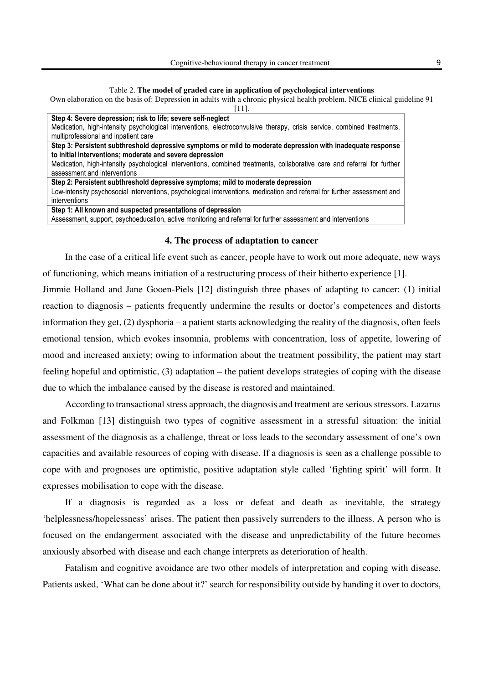Table 2. **The model of graded care in application of psychological interventions** 

Own elaboration on the basis of: Depression in adults with a chronic physical health problem. NICE clinical guideline 91

[11]. **Step 4: Severe depression; risk to life; severe self-neglect** Medication, high-intensity psychological interventions, electroconvulsive therapy, crisis service, combined treatments, multiprofessional and inpatient care **Step 3: Persistent subthreshold depressive symptoms or mild to moderate depression with inadequate response to initial interventions; moderate and severe depression**  Medication, high-intensity psychological interventions, combined treatments, collaborative care and referral for further assessment and interventions **Step 2: Persistent subthreshold depressive symptoms; mild to moderate depression** Low-intensity psychosocial interventions, psychological interventions, medication and referral for further assessment and interventions **Step 1: All known and suspected presentations of depression** Assessment, support, psychoeducation, active monitoring and referral for further assessment and interventions

# **4. The process of adaptation to cancer**

In the case of a critical life event such as cancer, people have to work out more adequate, new ways of functioning, which means initiation of a restructuring process of their hitherto experience [1].

Jimmie Holland and Jane Gooen-Piels [12] distinguish three phases of adapting to cancer: (1) initial reaction to diagnosis – patients frequently undermine the results or doctor's competences and distorts information they get, (2) dysphoria – a patient starts acknowledging the reality of the diagnosis, often feels emotional tension, which evokes insomnia, problems with concentration, loss of appetite, lowering of mood and increased anxiety; owing to information about the treatment possibility, the patient may start feeling hopeful and optimistic, (3) adaptation – the patient develops strategies of coping with the disease due to which the imbalance caused by the disease is restored and maintained.

According to transactional stress approach, the diagnosis and treatment are serious stressors. Lazarus and Folkman [13] distinguish two types of cognitive assessment in a stressful situation: the initial assessment of the diagnosis as a challenge, threat or loss leads to the secondary assessment of one's own capacities and available resources of coping with disease. If a diagnosis is seen as a challenge possible to cope with and prognoses are optimistic, positive adaptation style called 'fighting spirit' will form. It expresses mobilisation to cope with the disease.

If a diagnosis is regarded as a loss or defeat and death as inevitable, the strategy 'helplessness/hopelessness' arises. The patient then passively surrenders to the illness. A person who is focused on the endangerment associated with the disease and unpredictability of the future becomes anxiously absorbed with disease and each change interprets as deterioration of health.

Fatalism and cognitive avoidance are two other models of interpretation and coping with disease. Patients asked, 'What can be done about it?' search for responsibility outside by handing it over to doctors,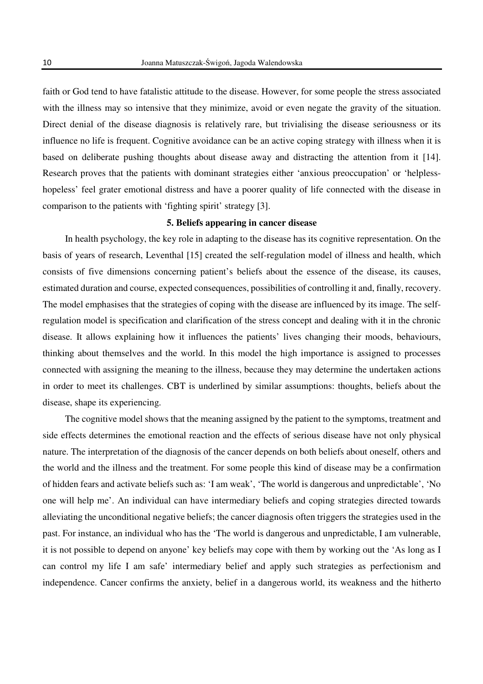faith or God tend to have fatalistic attitude to the disease. However, for some people the stress associated with the illness may so intensive that they minimize, avoid or even negate the gravity of the situation. Direct denial of the disease diagnosis is relatively rare, but trivialising the disease seriousness or its influence no life is frequent. Cognitive avoidance can be an active coping strategy with illness when it is based on deliberate pushing thoughts about disease away and distracting the attention from it [14]. Research proves that the patients with dominant strategies either 'anxious preoccupation' or 'helplesshopeless' feel grater emotional distress and have a poorer quality of life connected with the disease in comparison to the patients with 'fighting spirit' strategy [3].

# **5. Beliefs appearing in cancer disease**

In health psychology, the key role in adapting to the disease has its cognitive representation. On the basis of years of research, Leventhal [15] created the self-regulation model of illness and health, which consists of five dimensions concerning patient's beliefs about the essence of the disease, its causes, estimated duration and course, expected consequences, possibilities of controlling it and, finally, recovery. The model emphasises that the strategies of coping with the disease are influenced by its image. The selfregulation model is specification and clarification of the stress concept and dealing with it in the chronic disease. It allows explaining how it influences the patients' lives changing their moods, behaviours, thinking about themselves and the world. In this model the high importance is assigned to processes connected with assigning the meaning to the illness, because they may determine the undertaken actions in order to meet its challenges. CBT is underlined by similar assumptions: thoughts, beliefs about the disease, shape its experiencing.

The cognitive model shows that the meaning assigned by the patient to the symptoms, treatment and side effects determines the emotional reaction and the effects of serious disease have not only physical nature. The interpretation of the diagnosis of the cancer depends on both beliefs about oneself, others and the world and the illness and the treatment. For some people this kind of disease may be a confirmation of hidden fears and activate beliefs such as: 'I am weak', 'The world is dangerous and unpredictable', 'No one will help me'. An individual can have intermediary beliefs and coping strategies directed towards alleviating the unconditional negative beliefs; the cancer diagnosis often triggers the strategies used in the past. For instance, an individual who has the 'The world is dangerous and unpredictable, I am vulnerable, it is not possible to depend on anyone' key beliefs may cope with them by working out the 'As long as I can control my life I am safe' intermediary belief and apply such strategies as perfectionism and independence. Cancer confirms the anxiety, belief in a dangerous world, its weakness and the hitherto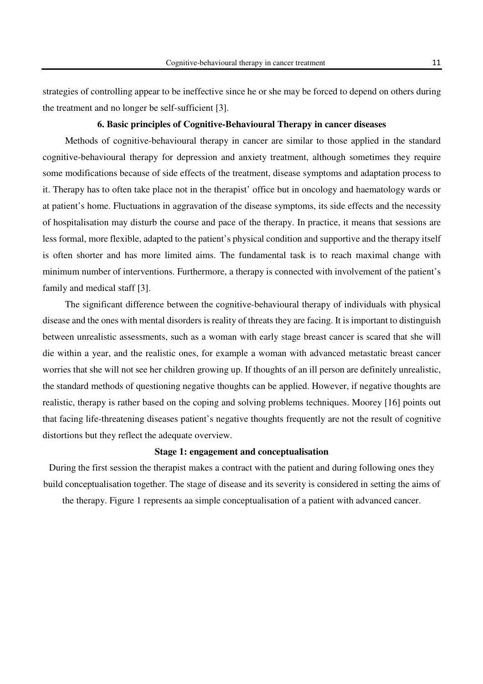strategies of controlling appear to be ineffective since he or she may be forced to depend on others during the treatment and no longer be self-sufficient [3].

### **6. Basic principles of Cognitive-Behavioural Therapy in cancer diseases**

Methods of cognitive-behavioural therapy in cancer are similar to those applied in the standard cognitive-behavioural therapy for depression and anxiety treatment, although sometimes they require some modifications because of side effects of the treatment, disease symptoms and adaptation process to it. Therapy has to often take place not in the therapist' office but in oncology and haematology wards or at patient's home. Fluctuations in aggravation of the disease symptoms, its side effects and the necessity of hospitalisation may disturb the course and pace of the therapy. In practice, it means that sessions are less formal, more flexible, adapted to the patient's physical condition and supportive and the therapy itself is often shorter and has more limited aims. The fundamental task is to reach maximal change with minimum number of interventions. Furthermore, a therapy is connected with involvement of the patient's family and medical staff [3].

The significant difference between the cognitive-behavioural therapy of individuals with physical disease and the ones with mental disorders is reality of threats they are facing. It is important to distinguish between unrealistic assessments, such as a woman with early stage breast cancer is scared that she will die within a year, and the realistic ones, for example a woman with advanced metastatic breast cancer worries that she will not see her children growing up. If thoughts of an ill person are definitely unrealistic, the standard methods of questioning negative thoughts can be applied. However, if negative thoughts are realistic, therapy is rather based on the coping and solving problems techniques. Moorey [16] points out that facing life-threatening diseases patient's negative thoughts frequently are not the result of cognitive distortions but they reflect the adequate overview.

# **Stage 1: engagement and conceptualisation**

During the first session the therapist makes a contract with the patient and during following ones they build conceptualisation together. The stage of disease and its severity is considered in setting the aims of

the therapy. Figure 1 represents aa simple conceptualisation of a patient with advanced cancer.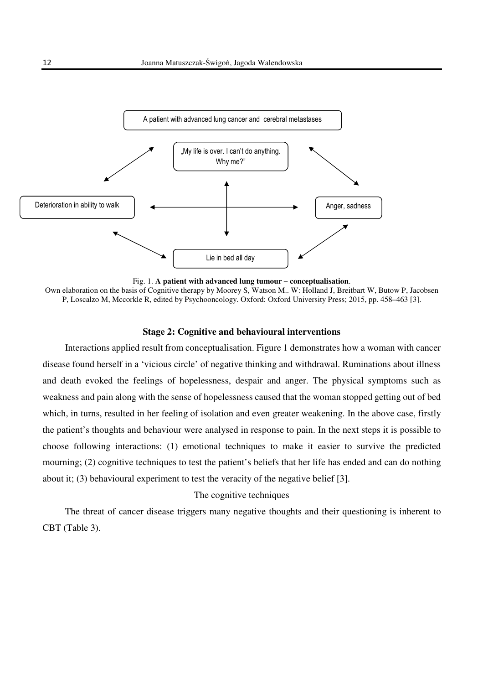

Fig. 1. **A patient with advanced lung tumour – conceptualisation**. Own elaboration on the basis of Cognitive therapy by Moorey S, Watson M.. W: Holland J, Breitbart W, Butow P, Jacobsen P, Loscalzo M, Mccorkle R, edited by Psychooncology. Oxford: Oxford University Press; 2015, pp. 458–463 [3].

#### **Stage 2: Cognitive and behavioural interventions**

Interactions applied result from conceptualisation. Figure 1 demonstrates how a woman with cancer disease found herself in a 'vicious circle' of negative thinking and withdrawal. Ruminations about illness and death evoked the feelings of hopelessness, despair and anger. The physical symptoms such as weakness and pain along with the sense of hopelessness caused that the woman stopped getting out of bed which, in turns, resulted in her feeling of isolation and even greater weakening. In the above case, firstly the patient's thoughts and behaviour were analysed in response to pain. In the next steps it is possible to choose following interactions: (1) emotional techniques to make it easier to survive the predicted mourning; (2) cognitive techniques to test the patient's beliefs that her life has ended and can do nothing about it; (3) behavioural experiment to test the veracity of the negative belief [3].

# The cognitive techniques

The threat of cancer disease triggers many negative thoughts and their questioning is inherent to CBT (Table 3).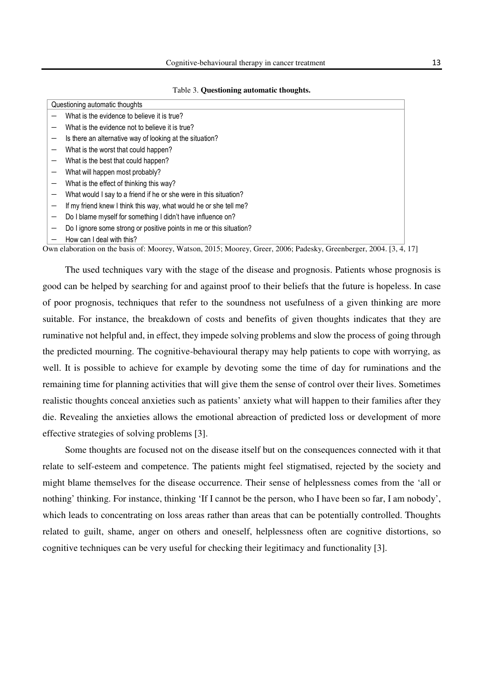Table 3. **Questioning automatic thoughts.** 

| Questioning automatic thoughts                                      |
|---------------------------------------------------------------------|
| What is the evidence to believe it is true?                         |
| What is the evidence not to believe it is true?                     |
| Is there an alternative way of looking at the situation?            |
| What is the worst that could happen?                                |
| What is the best that could happen?                                 |
| What will happen most probably?                                     |
| What is the effect of thinking this way?                            |
| What would I say to a friend if he or she were in this situation?   |
| If my friend knew I think this way, what would he or she tell me?   |
| Do I blame myself for something I didn't have influence on?         |
| Do I ignore some strong or positive points in me or this situation? |
| How can I deal with this?                                           |

Own elaboration on the basis of: Moorey, Watson, 2015; Moorey, Greer, 2006; Padesky, Greenberger, 2004. [3, 4, 17]

The used techniques vary with the stage of the disease and prognosis. Patients whose prognosis is good can be helped by searching for and against proof to their beliefs that the future is hopeless. In case of poor prognosis, techniques that refer to the soundness not usefulness of a given thinking are more suitable. For instance, the breakdown of costs and benefits of given thoughts indicates that they are ruminative not helpful and, in effect, they impede solving problems and slow the process of going through the predicted mourning. The cognitive-behavioural therapy may help patients to cope with worrying, as well. It is possible to achieve for example by devoting some the time of day for ruminations and the remaining time for planning activities that will give them the sense of control over their lives. Sometimes realistic thoughts conceal anxieties such as patients' anxiety what will happen to their families after they die. Revealing the anxieties allows the emotional abreaction of predicted loss or development of more effective strategies of solving problems [3].

Some thoughts are focused not on the disease itself but on the consequences connected with it that relate to self-esteem and competence. The patients might feel stigmatised, rejected by the society and might blame themselves for the disease occurrence. Their sense of helplessness comes from the 'all or nothing' thinking. For instance, thinking 'If I cannot be the person, who I have been so far, I am nobody', which leads to concentrating on loss areas rather than areas that can be potentially controlled. Thoughts related to guilt, shame, anger on others and oneself, helplessness often are cognitive distortions, so cognitive techniques can be very useful for checking their legitimacy and functionality [3].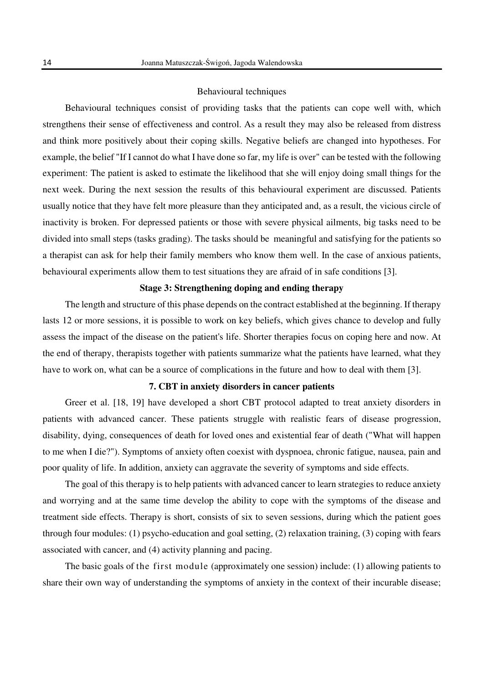#### Behavioural techniques

Behavioural techniques consist of providing tasks that the patients can cope well with, which strengthens their sense of effectiveness and control. As a result they may also be released from distress and think more positively about their coping skills. Negative beliefs are changed into hypotheses. For example, the belief "If I cannot do what I have done so far, my life is over" can be tested with the following experiment: The patient is asked to estimate the likelihood that she will enjoy doing small things for the next week. During the next session the results of this behavioural experiment are discussed. Patients usually notice that they have felt more pleasure than they anticipated and, as a result, the vicious circle of inactivity is broken. For depressed patients or those with severe physical ailments, big tasks need to be divided into small steps (tasks grading). The tasks should be meaningful and satisfying for the patients so a therapist can ask for help their family members who know them well. In the case of anxious patients, behavioural experiments allow them to test situations they are afraid of in safe conditions [3].

# **Stage 3: Strengthening doping and ending therapy**

The length and structure of this phase depends on the contract established at the beginning. If therapy lasts 12 or more sessions, it is possible to work on key beliefs, which gives chance to develop and fully assess the impact of the disease on the patient's life. Shorter therapies focus on coping here and now. At the end of therapy, therapists together with patients summarize what the patients have learned, what they have to work on, what can be a source of complications in the future and how to deal with them [3].

# **7. CBT in anxiety disorders in cancer patients**

Greer et al. [18, 19] have developed a short CBT protocol adapted to treat anxiety disorders in patients with advanced cancer. These patients struggle with realistic fears of disease progression, disability, dying, consequences of death for loved ones and existential fear of death ("What will happen to me when I die?"). Symptoms of anxiety often coexist with dyspnoea, chronic fatigue, nausea, pain and poor quality of life. In addition, anxiety can aggravate the severity of symptoms and side effects.

The goal of this therapy is to help patients with advanced cancer to learn strategies to reduce anxiety and worrying and at the same time develop the ability to cope with the symptoms of the disease and treatment side effects. Therapy is short, consists of six to seven sessions, during which the patient goes through four modules: (1) psycho-education and goal setting, (2) relaxation training, (3) coping with fears associated with cancer, and (4) activity planning and pacing.

The basic goals of the first module (approximately one session) include: (1) allowing patients to share their own way of understanding the symptoms of anxiety in the context of their incurable disease;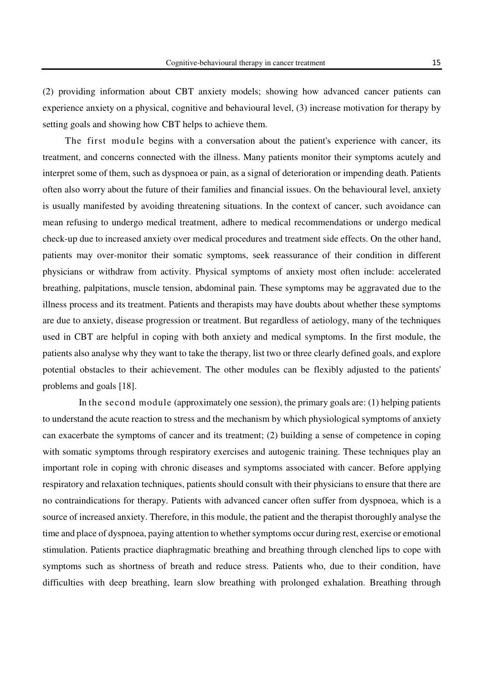(2) providing information about CBT anxiety models; showing how advanced cancer patients can experience anxiety on a physical, cognitive and behavioural level, (3) increase motivation for therapy by setting goals and showing how CBT helps to achieve them.

The first module begins with a conversation about the patient's experience with cancer, its treatment, and concerns connected with the illness. Many patients monitor their symptoms acutely and interpret some of them, such as dyspnoea or pain, as a signal of deterioration or impending death. Patients often also worry about the future of their families and financial issues. On the behavioural level, anxiety is usually manifested by avoiding threatening situations. In the context of cancer, such avoidance can mean refusing to undergo medical treatment, adhere to medical recommendations or undergo medical check-up due to increased anxiety over medical procedures and treatment side effects. On the other hand, patients may over-monitor their somatic symptoms, seek reassurance of their condition in different physicians or withdraw from activity. Physical symptoms of anxiety most often include: accelerated breathing, palpitations, muscle tension, abdominal pain. These symptoms may be aggravated due to the illness process and its treatment. Patients and therapists may have doubts about whether these symptoms are due to anxiety, disease progression or treatment. But regardless of aetiology, many of the techniques used in CBT are helpful in coping with both anxiety and medical symptoms. In the first module, the patients also analyse why they want to take the therapy, list two or three clearly defined goals, and explore potential obstacles to their achievement. The other modules can be flexibly adjusted to the patients' problems and goals [18].

 In the second module (approximately one session), the primary goals are: (1) helping patients to understand the acute reaction to stress and the mechanism by which physiological symptoms of anxiety can exacerbate the symptoms of cancer and its treatment; (2) building a sense of competence in coping with somatic symptoms through respiratory exercises and autogenic training. These techniques play an important role in coping with chronic diseases and symptoms associated with cancer. Before applying respiratory and relaxation techniques, patients should consult with their physicians to ensure that there are no contraindications for therapy. Patients with advanced cancer often suffer from dyspnoea, which is a source of increased anxiety. Therefore, in this module, the patient and the therapist thoroughly analyse the time and place of dyspnoea, paying attention to whether symptoms occur during rest, exercise or emotional stimulation. Patients practice diaphragmatic breathing and breathing through clenched lips to cope with symptoms such as shortness of breath and reduce stress. Patients who, due to their condition, have difficulties with deep breathing, learn slow breathing with prolonged exhalation. Breathing through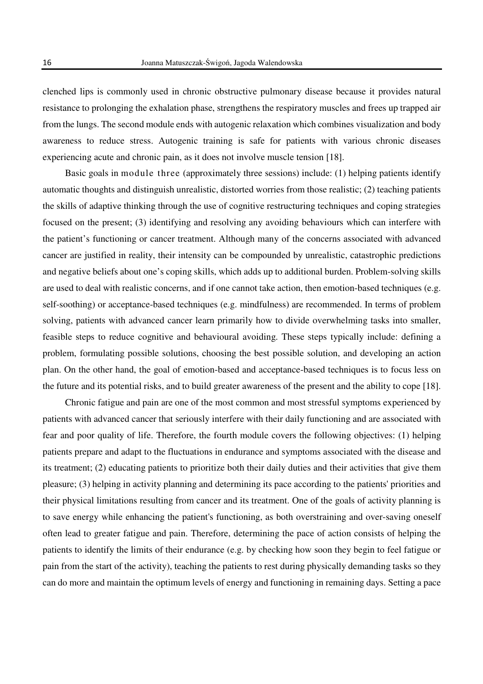clenched lips is commonly used in chronic obstructive pulmonary disease because it provides natural resistance to prolonging the exhalation phase, strengthens the respiratory muscles and frees up trapped air from the lungs. The second module ends with autogenic relaxation which combines visualization and body awareness to reduce stress. Autogenic training is safe for patients with various chronic diseases experiencing acute and chronic pain, as it does not involve muscle tension [18].

Basic goals in module three (approximately three sessions) include: (1) helping patients identify automatic thoughts and distinguish unrealistic, distorted worries from those realistic; (2) teaching patients the skills of adaptive thinking through the use of cognitive restructuring techniques and coping strategies focused on the present; (3) identifying and resolving any avoiding behaviours which can interfere with the patient's functioning or cancer treatment. Although many of the concerns associated with advanced cancer are justified in reality, their intensity can be compounded by unrealistic, catastrophic predictions and negative beliefs about one's coping skills, which adds up to additional burden. Problem-solving skills are used to deal with realistic concerns, and if one cannot take action, then emotion-based techniques (e.g. self-soothing) or acceptance-based techniques (e.g. mindfulness) are recommended. In terms of problem solving, patients with advanced cancer learn primarily how to divide overwhelming tasks into smaller, feasible steps to reduce cognitive and behavioural avoiding. These steps typically include: defining a problem, formulating possible solutions, choosing the best possible solution, and developing an action plan. On the other hand, the goal of emotion-based and acceptance-based techniques is to focus less on the future and its potential risks, and to build greater awareness of the present and the ability to cope [18].

Chronic fatigue and pain are one of the most common and most stressful symptoms experienced by patients with advanced cancer that seriously interfere with their daily functioning and are associated with fear and poor quality of life. Therefore, the fourth module covers the following objectives: (1) helping patients prepare and adapt to the fluctuations in endurance and symptoms associated with the disease and its treatment; (2) educating patients to prioritize both their daily duties and their activities that give them pleasure; (3) helping in activity planning and determining its pace according to the patients' priorities and their physical limitations resulting from cancer and its treatment. One of the goals of activity planning is to save energy while enhancing the patient's functioning, as both overstraining and over-saving oneself often lead to greater fatigue and pain. Therefore, determining the pace of action consists of helping the patients to identify the limits of their endurance (e.g. by checking how soon they begin to feel fatigue or pain from the start of the activity), teaching the patients to rest during physically demanding tasks so they can do more and maintain the optimum levels of energy and functioning in remaining days. Setting a pace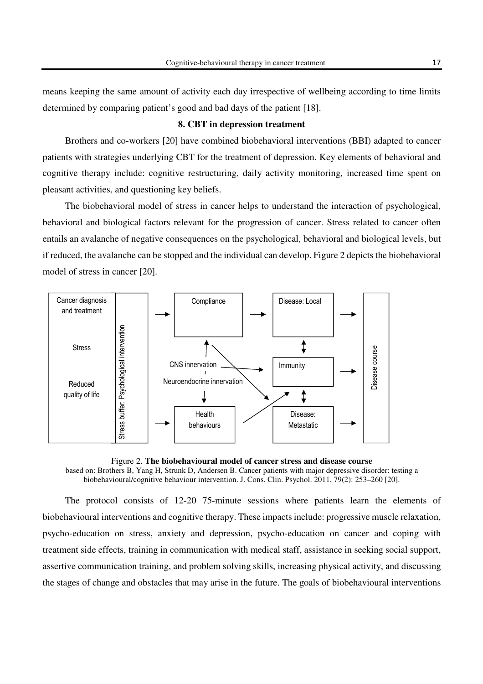means keeping the same amount of activity each day irrespective of wellbeing according to time limits determined by comparing patient's good and bad days of the patient [18].

# **8. CBT in depression treatment**

Brothers and co-workers [20] have combined biobehavioral interventions (BBI) adapted to cancer patients with strategies underlying CBT for the treatment of depression. Key elements of behavioral and cognitive therapy include: cognitive restructuring, daily activity monitoring, increased time spent on pleasant activities, and questioning key beliefs.

The biobehavioral model of stress in cancer helps to understand the interaction of psychological, behavioral and biological factors relevant for the progression of cancer. Stress related to cancer often entails an avalanche of negative consequences on the psychological, behavioral and biological levels, but if reduced, the avalanche can be stopped and the individual can develop. Figure 2 depicts the biobehavioral model of stress in cancer [20].



Figure 2. **The biobehavioural model of cancer stress and disease course**  based on: Brothers B, Yang H, Strunk D, Andersen B. Cancer patients with major depressive disorder: testing a biobehavioural/cognitive behaviour intervention. J. Cons. Clin. Psychol. 2011, 79(2): 253-260 [20].

The protocol consists of 12-20 75-minute sessions where patients learn the elements of biobehavioural interventions and cognitive therapy. These impacts include: progressive muscle relaxation, psycho-education on stress, anxiety and depression, psycho-education on cancer and coping with treatment side effects, training in communication with medical staff, assistance in seeking social support, assertive communication training, and problem solving skills, increasing physical activity, and discussing the stages of change and obstacles that may arise in the future. The goals of biobehavioural interventions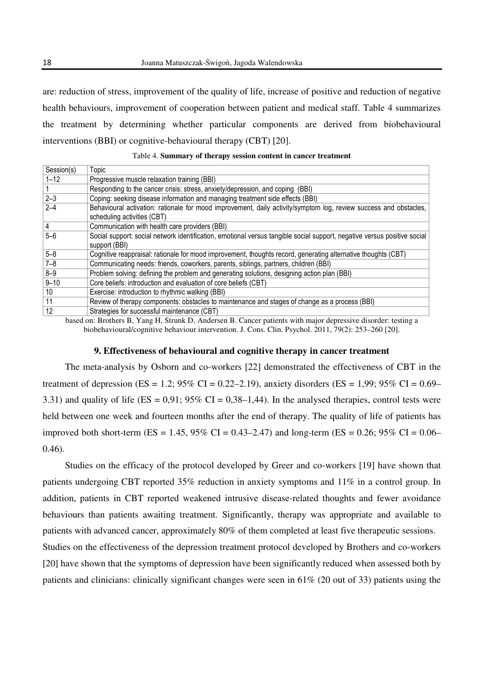are: reduction of stress, improvement of the quality of life, increase of positive and reduction of negative health behaviours, improvement of cooperation between patient and medical staff. Table 4 summarizes the treatment by determining whether particular components are derived from biobehavioural interventions (BBI) or cognitive-behavioural therapy (CBT) [20].

| Session(s) | Topic                                                                                                                                            |
|------------|--------------------------------------------------------------------------------------------------------------------------------------------------|
| $1 - 12$   | Progressive muscle relaxation training (BBI)                                                                                                     |
|            | Responding to the cancer crisis: stress, anxiety/depression, and coping (BBI)                                                                    |
| $2 - 3$    | Coping: seeking disease information and managing treatment side effects (BBI)                                                                    |
| $2 - 4$    | Behavioural activation: rationale for mood improvement, daily activity/symptom log, review success and obstacles,<br>scheduling activities (CBT) |
| 4          | Communication with health care providers (BBI)                                                                                                   |
| $5-6$      | Social support: social network identification, emotional versus tangible social support, negative versus positive social<br>support (BBI)        |
| $5 - 8$    | Cognitive reappraisal: rationale for mood improvement, thoughts record, generating alternative thoughts (CBT)                                    |
| $7 - 8$    | Communicating needs: friends, coworkers, parents, siblings, partners, children (BBI)                                                             |
| $8 - 9$    | Problem solving: defining the problem and generating solutions, designing action plan (BBI)                                                      |
| $9 - 10$   | Core beliefs: introduction and evaluation of core beliefs (CBT)                                                                                  |
| 10         | Exercise: introduction to rhythmic walking (BBI)                                                                                                 |
| 11         | Review of therapy components: obstacles to maintenance and stages of change as a process (BBI)                                                   |
| 12         | Strategies for successful maintenance (CBT)                                                                                                      |

| Table 4. Summary of therapy session content in cancer treatment |  |  |  |
|-----------------------------------------------------------------|--|--|--|
|-----------------------------------------------------------------|--|--|--|

based on: Brothers B, Yang H, Strunk D, Andersen B. Cancer patients with major depressive disorder: testing a biobehavioural/cognitive behaviour intervention. J. Cons. Clin. Psychol. 2011, 79(2): 253–260 [20].

#### **9. Effectiveness of behavioural and cognitive therapy in cancer treatment**

The meta-analysis by Osborn and co-workers [22] demonstrated the effectiveness of CBT in the treatment of depression (ES = 1.2; 95% CI = 0.22–2.19), anxiety disorders (ES = 1,99; 95% CI = 0.69– 3.31) and quality of life (ES =  $0.91$ ; 95% CI =  $0.38-1.44$ ). In the analysed therapies, control tests were held between one week and fourteen months after the end of therapy. The quality of life of patients has improved both short-term (ES = 1.45, 95% CI = 0.43–2.47) and long-term (ES = 0.26; 95% CI = 0.06– 0.46).

Studies on the efficacy of the protocol developed by Greer and co-workers [19] have shown that patients undergoing CBT reported 35% reduction in anxiety symptoms and 11% in a control group. In addition, patients in CBT reported weakened intrusive disease-related thoughts and fewer avoidance behaviours than patients awaiting treatment. Significantly, therapy was appropriate and available to patients with advanced cancer, approximately 80% of them completed at least five therapeutic sessions.

Studies on the effectiveness of the depression treatment protocol developed by Brothers and co-workers [20] have shown that the symptoms of depression have been significantly reduced when assessed both by patients and clinicians: clinically significant changes were seen in 61% (20 out of 33) patients using the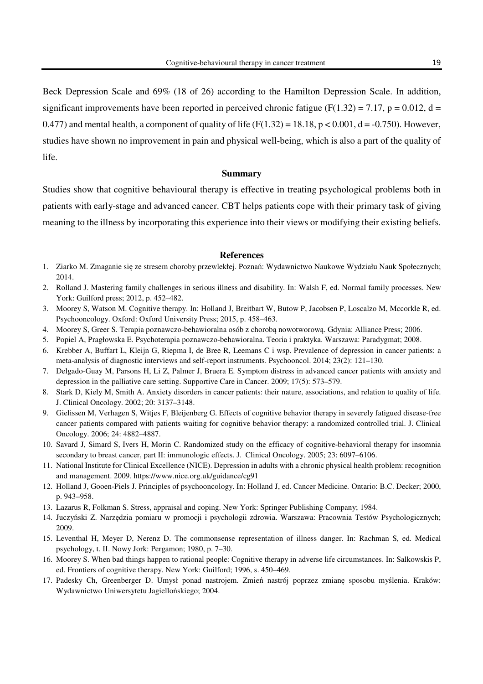Beck Depression Scale and 69% (18 of 26) according to the Hamilton Depression Scale. In addition, significant improvements have been reported in perceived chronic fatigue (F(1.32) = 7.17, p = 0.012, d = 0.477) and mental health, a component of quality of life  $(F(1.32) = 18.18, p < 0.001, d = -0.750)$ . However, studies have shown no improvement in pain and physical well-being, which is also a part of the quality of

life.

# **Summary**

Studies show that cognitive behavioural therapy is effective in treating psychological problems both in patients with early-stage and advanced cancer. CBT helps patients cope with their primary task of giving meaning to the illness by incorporating this experience into their views or modifying their existing beliefs.

#### **References**

- 1. Ziarko M. Zmaganie się ze stresem choroby przewlekłej. Poznań: Wydawnictwo Naukowe Wydziału Nauk Społecznych; 2014.
- 2. Rolland J. Mastering family challenges in serious illness and disability. In: Walsh F, ed. Normal family processes. New York: Guilford press; 2012, p. 452–482.
- 3. Moorey S, Watson M. Cognitive therapy. In: Holland J, Breitbart W, Butow P, Jacobsen P, Loscalzo M, Mccorkle R, ed. Psychooncology. Oxford: Oxford University Press; 2015, p. 458–463.
- 4. Moorey S, Greer S. Terapia poznawczo-behawioralna osób z chorobą nowotworową. Gdynia: Alliance Press; 2006.
- 5. Popiel A, Pragłowska E. Psychoterapia poznawczo-behawioralna. Teoria i praktyka. Warszawa: Paradygmat; 2008.
- 6. Krebber A, Buffart L, Kleijn G, Riepma I, de Bree R, Leemans C i wsp. Prevalence of depression in cancer patients: a meta-analysis of diagnostic interviews and self-report instruments. Psychooncol. 2014; 23(2): 121–130.
- 7. Delgado-Guay M, Parsons H, Li Z, Palmer J, Bruera E. Symptom distress in advanced cancer patients with anxiety and depression in the palliative care setting. Supportive Care in Cancer. 2009; 17(5): 573–579.
- 8. Stark D, Kiely M, Smith A. Anxiety disorders in cancer patients: their nature, associations, and relation to quality of life. J. Clinical Oncology. 2002; 20: 3137–3148.
- 9. Gielissen M, Verhagen S, Witjes F, Bleijenberg G. Effects of cognitive behavior therapy in severely fatigued disease-free cancer patients compared with patients waiting for cognitive behavior therapy: a randomized controlled trial. J. Clinical Oncology. 2006; 24: 4882–4887.
- 10. Savard J, Simard S, Ivers H, Morin C. Randomized study on the efficacy of cognitive-behavioral therapy for insomnia secondary to breast cancer, part II: immunologic effects. J. Clinical Oncology. 2005; 23: 6097–6106.
- 11. National Institute for Clinical Excellence (NICE). Depression in adults with a chronic physical health problem: recognition and management. 2009. https://www.nice.org.uk/guidance/cg91
- 12. Holland J, Gooen-Piels J. Principles of psychooncology. In: Holland J, ed. Cancer Medicine*.* Ontario: B.C. Decker; 2000, p. 943–958.
- 13. Lazarus R, Folkman S. Stress, appraisal and coping. New York: Springer Publishing Company; 1984.
- 14. Juczyński Z. Narzędzia pomiaru w promocji i psychologii zdrowia. Warszawa: Pracownia Testów Psychologicznych; 2009.
- 15. Leventhal H, Meyer D, Nerenz D. The commonsense representation of illness danger. In: Rachman S, ed. Medical psychology, t. II. Nowy Jork: Pergamon; 1980, p. 7–30.
- 16. Moorey S. When bad things happen to rational people: Cognitive therapy in adverse life circumstances. In: Salkowskis P, ed. Frontiers of cognitive therapy. New York: Guilford; 1996, s. 450–469.
- 17. Padesky Ch, Greenberger D. Umysł ponad nastrojem. Zmień nastrój poprzez zmianę sposobu myślenia. Kraków: Wydawnictwo Uniwersytetu Jagiellońskiego; 2004.